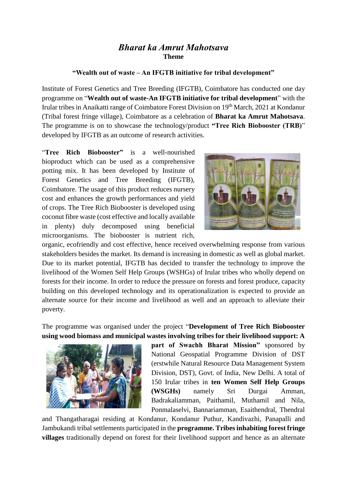## *Bharat ka Amrut Mahotsava* **Theme**

## **"Wealth out of waste – An IFGTB initiative for tribal development"**

Institute of Forest Genetics and Tree Breeding (IFGTB), Coimbatore has conducted one day programme on "**Wealth out of waste-An IFGTB initiative for tribal development**" with the Irular tribes in Anaikatti range of Coimbatore Forest Division on 19th March, 2021 at Kondanur (Tribal forest fringe village), Coimbatore as a celebration of **Bharat ka Amrut Mahotsava**. The programme is on to showcase the technology/product **"Tree Rich Biobooster (TRB)**" developed by IFGTB as an outcome of research activities.

"**Tree Rich Biobooster"** is a well-nourished bioproduct which can be used as a comprehensive potting mix. It has been developed by Institute of Forest Genetics and Tree Breeding (IFGTB), Coimbatore. The usage of this product reduces nursery cost and enhances the growth performances and yield of crops. The Tree Rich Biobooster is developed using coconut fibre waste (cost effective and locally available in plenty) duly decomposed using beneficial microorganisms. The biobooster is nutrient rich,



organic, ecofriendly and cost effective, hence received overwhelming response from various stakeholders besides the market. Its demand is increasing in domestic as well as global market. Due to its market potential, IFGTB has decided to transfer the technology to improve the livelihood of the Women Self Help Groups (WSHGs) of Irular tribes who wholly depend on forests for their income. In order to reduce the pressure on forests and forest produce, capacity building on this developed technology and its operationalization is expected to provide an alternate source for their income and livelihood as well and an approach to alleviate their poverty.

The programme was organised under the project "**Development of Tree Rich Biobooster using wood biomass and municipal wastes involving tribes for their livelihood support: A** 



**part of Swachh Bharat Mission"** sponsored by National Geospatial Programme Division of DST (erstwhile Natural Resource Data Management System Division, DST), Govt. of India, New Delhi. A total of 150 Irular tribes in **ten Women Self Help Groups (WSGHs)** namely Sri Durgai Amman, Badrakaliamman, Paithamil, Muthamil and Nila, Ponmalaselvi, Bannariamman, Esaithendral, Thendral

and Thangatharagai residing at Kondanur, Kondanur Puthur, Kandivazhi, Panapalli and Jambukandi tribal settlements participated in the **programme. Tribes inhabiting forest fringe villages** traditionally depend on forest for their livelihood support and hence as an alternate